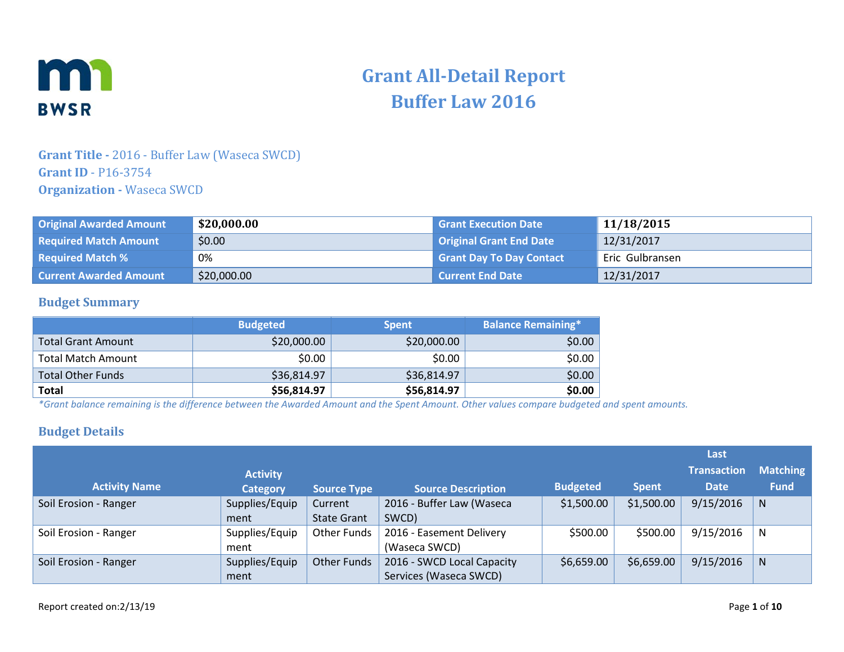

# **Grant All-Detail Report Buffer Law 2016**

#### **Grant Title -** 2016 - Buffer Law (Waseca SWCD) **Grant ID** - P16-3754 **Organization -** Waseca SWCD

| <b>Original Awarded Amount</b> | \$20,000.00 | <b>Grant Execution Date</b>     | 11/18/2015      |
|--------------------------------|-------------|---------------------------------|-----------------|
| <b>Required Match Amount</b>   | \$0.00      | <b>Original Grant End Date</b>  | 12/31/2017      |
| <b>Required Match %</b>        | 0%          | <b>Grant Day To Day Contact</b> | Eric Gulbransen |
| <b>Current Awarded Amount</b>  | \$20,000.00 | <b>Current End Date</b>         | 12/31/2017      |

#### **Budget Summary**

|                           | <b>Budgeted</b> | <b>Spent</b> | <b>Balance Remaining*1</b> |
|---------------------------|-----------------|--------------|----------------------------|
| <b>Total Grant Amount</b> | \$20,000.00     | \$20,000.00  | \$0.00                     |
| Total Match Amount        | \$0.00          | \$0.00       | \$0.00                     |
| <b>Total Other Funds</b>  | \$36,814.97     | \$36,814.97  | \$0.00                     |
| <b>Total</b>              | \$56,814.97     | \$56,814.97  | \$0.00                     |

*\*Grant balance remaining is the difference between the Awarded Amount and the Spent Amount. Other values compare budgeted and spent amounts.*

#### **Budget Details**

|                       |                 |                    |                            |                 |              | Last        |                 |
|-----------------------|-----------------|--------------------|----------------------------|-----------------|--------------|-------------|-----------------|
|                       | <b>Activity</b> |                    |                            |                 |              | Transaction | <b>Matching</b> |
| <b>Activity Name</b>  | <b>Category</b> | <b>Source Type</b> | <b>Source Description</b>  | <b>Budgeted</b> | <b>Spent</b> | <b>Date</b> | <b>Fund</b>     |
| Soil Erosion - Ranger | Supplies/Equip  | Current            | 2016 - Buffer Law (Waseca  | \$1,500.00      | \$1,500.00   | 9/15/2016   | $\mathsf{N}$    |
|                       | ment            | <b>State Grant</b> | SWCD)                      |                 |              |             |                 |
| Soil Erosion - Ranger | Supplies/Equip  | Other Funds        | 2016 - Easement Delivery   | \$500.00        | \$500.00     | 9/15/2016   | N               |
|                       | ment            |                    | (Waseca SWCD)              |                 |              |             |                 |
| Soil Erosion - Ranger | Supplies/Equip  | Other Funds        | 2016 - SWCD Local Capacity | \$6,659.00      | \$6,659.00   | 9/15/2016   | <sub>N</sub>    |
|                       | ment            |                    | Services (Waseca SWCD)     |                 |              |             |                 |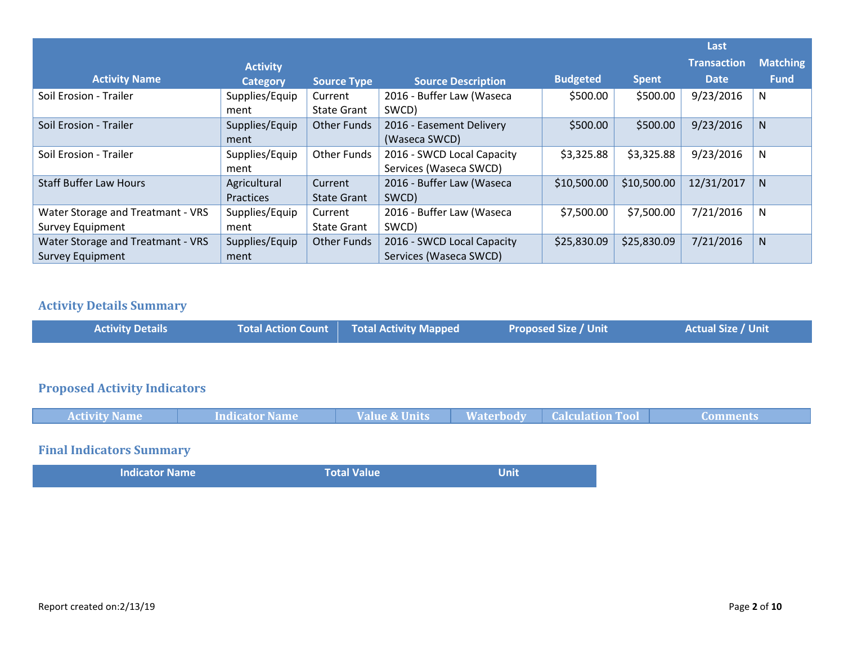|                                   |                 |                    |                            |                 |              | Last               |                 |
|-----------------------------------|-----------------|--------------------|----------------------------|-----------------|--------------|--------------------|-----------------|
|                                   | <b>Activity</b> |                    |                            |                 |              | <b>Transaction</b> | <b>Matching</b> |
| <b>Activity Name</b>              | Category        | <b>Source Type</b> | <b>Source Description</b>  | <b>Budgeted</b> | <b>Spent</b> | <b>Date</b>        | <b>Fund</b>     |
| Soil Erosion - Trailer            | Supplies/Equip  | Current            | 2016 - Buffer Law (Waseca  | \$500.00        | \$500.00     | 9/23/2016          | N               |
|                                   | ment            | <b>State Grant</b> | SWCD)                      |                 |              |                    |                 |
| Soil Erosion - Trailer            | Supplies/Equip  | <b>Other Funds</b> | 2016 - Easement Delivery   | \$500.00        | \$500.00     | 9/23/2016          | N.              |
|                                   | ment            |                    | (Waseca SWCD)              |                 |              |                    |                 |
| Soil Erosion - Trailer            | Supplies/Equip  | <b>Other Funds</b> | 2016 - SWCD Local Capacity | \$3,325.88      | \$3,325.88   | 9/23/2016          | N               |
|                                   | ment            |                    | Services (Waseca SWCD)     |                 |              |                    |                 |
| <b>Staff Buffer Law Hours</b>     | Agricultural    | Current            | 2016 - Buffer Law (Waseca  | \$10,500.00     | \$10,500.00  | 12/31/2017         | N.              |
|                                   | Practices       | <b>State Grant</b> | SWCD)                      |                 |              |                    |                 |
| Water Storage and Treatmant - VRS | Supplies/Equip  | Current            | 2016 - Buffer Law (Waseca  | \$7,500.00      | \$7,500.00   | 7/21/2016          | N               |
| Survey Equipment                  | ment            | <b>State Grant</b> | SWCD)                      |                 |              |                    |                 |
| Water Storage and Treatmant - VRS | Supplies/Equip  | <b>Other Funds</b> | 2016 - SWCD Local Capacity | \$25,830.09     | \$25,830.09  | 7/21/2016          | N               |
| <b>Survey Equipment</b>           | ment            |                    | Services (Waseca SWCD)     |                 |              |                    |                 |

# **Activity Details Summary**

| <b>Activity Details</b> | <b>Total Action Count Total Activity Mapped</b> | <b>Proposed Size / Unit</b> | <b>Actual Size / Unit</b> |
|-------------------------|-------------------------------------------------|-----------------------------|---------------------------|
|                         |                                                 |                             |                           |

# **Proposed Activity Indicators**

| <b>Activity Name</b> | <b>Indicator Name</b> | <b>Value &amp; Units</b> | <b>Waterbody</b> | <b>Calculation Tool</b> | Comments, |
|----------------------|-----------------------|--------------------------|------------------|-------------------------|-----------|
|                      |                       |                          |                  |                         |           |

### **Final Indicators Summary**

| <b>Indicator Name</b> | <b>Total Value</b> | <b>Unit</b> |  |
|-----------------------|--------------------|-------------|--|
|                       |                    |             |  |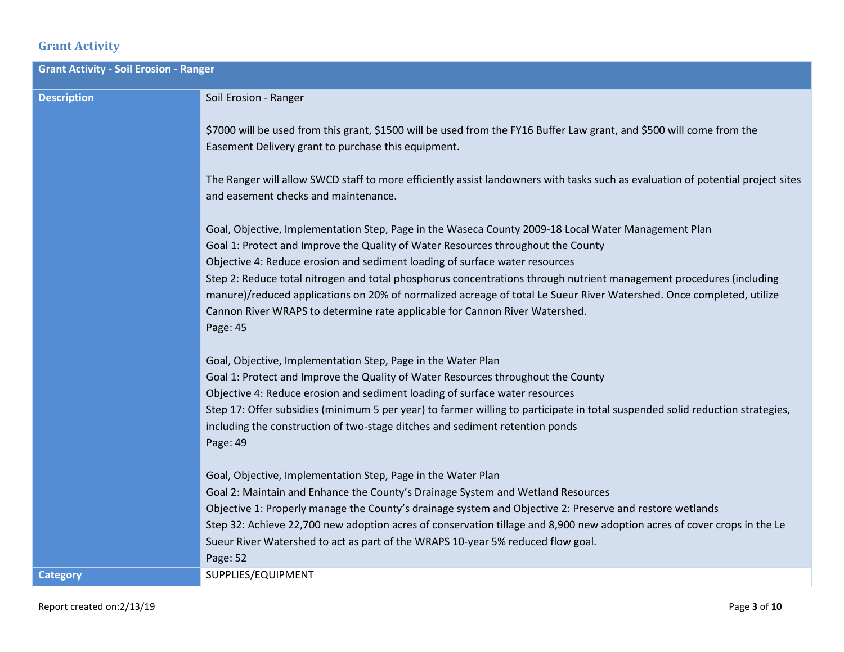# **Grant Activity**

| <b>Grant Activity - Soil Erosion - Ranger</b> |                                                                                                                                                                                                                                                                                                                                                                                                                                                                                        |
|-----------------------------------------------|----------------------------------------------------------------------------------------------------------------------------------------------------------------------------------------------------------------------------------------------------------------------------------------------------------------------------------------------------------------------------------------------------------------------------------------------------------------------------------------|
| <b>Description</b>                            | Soil Erosion - Ranger                                                                                                                                                                                                                                                                                                                                                                                                                                                                  |
|                                               | \$7000 will be used from this grant, \$1500 will be used from the FY16 Buffer Law grant, and \$500 will come from the<br>Easement Delivery grant to purchase this equipment.                                                                                                                                                                                                                                                                                                           |
|                                               | The Ranger will allow SWCD staff to more efficiently assist landowners with tasks such as evaluation of potential project sites<br>and easement checks and maintenance.                                                                                                                                                                                                                                                                                                                |
|                                               | Goal, Objective, Implementation Step, Page in the Waseca County 2009-18 Local Water Management Plan<br>Goal 1: Protect and Improve the Quality of Water Resources throughout the County                                                                                                                                                                                                                                                                                                |
|                                               | Objective 4: Reduce erosion and sediment loading of surface water resources<br>Step 2: Reduce total nitrogen and total phosphorus concentrations through nutrient management procedures (including<br>manure)/reduced applications on 20% of normalized acreage of total Le Sueur River Watershed. Once completed, utilize<br>Cannon River WRAPS to determine rate applicable for Cannon River Watershed.<br>Page: 45                                                                  |
|                                               | Goal, Objective, Implementation Step, Page in the Water Plan<br>Goal 1: Protect and Improve the Quality of Water Resources throughout the County<br>Objective 4: Reduce erosion and sediment loading of surface water resources<br>Step 17: Offer subsidies (minimum 5 per year) to farmer willing to participate in total suspended solid reduction strategies,<br>including the construction of two-stage ditches and sediment retention ponds<br>Page: 49                           |
|                                               | Goal, Objective, Implementation Step, Page in the Water Plan<br>Goal 2: Maintain and Enhance the County's Drainage System and Wetland Resources<br>Objective 1: Properly manage the County's drainage system and Objective 2: Preserve and restore wetlands<br>Step 32: Achieve 22,700 new adoption acres of conservation tillage and 8,900 new adoption acres of cover crops in the Le<br>Sueur River Watershed to act as part of the WRAPS 10-year 5% reduced flow goal.<br>Page: 52 |
| <b>Category</b>                               | SUPPLIES/EQUIPMENT                                                                                                                                                                                                                                                                                                                                                                                                                                                                     |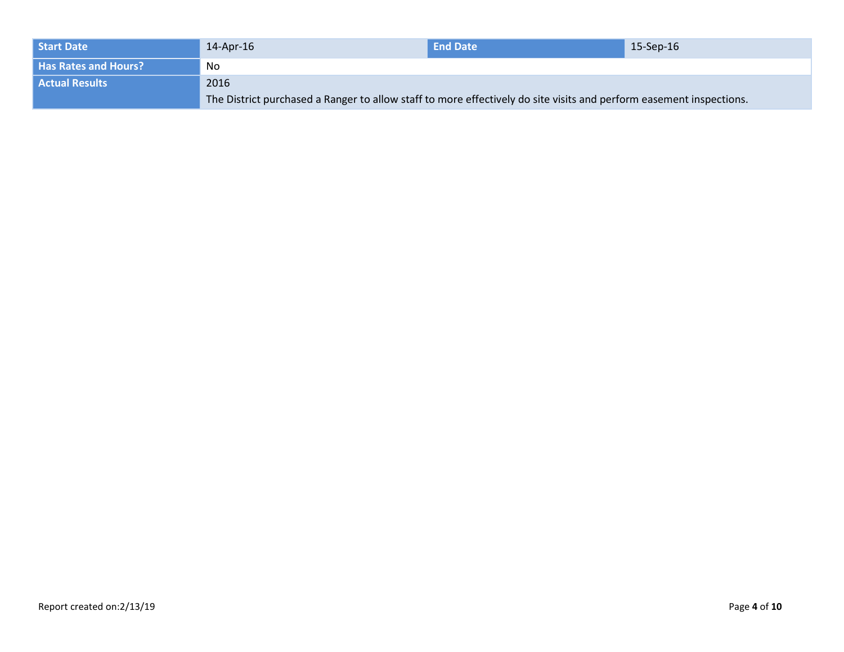| Start Date                  | 14-Apr-16                                                                                                           | <b>End Date</b> | 15-Sep-16 |
|-----------------------------|---------------------------------------------------------------------------------------------------------------------|-----------------|-----------|
| <b>Has Rates and Hours?</b> | No                                                                                                                  |                 |           |
| <b>Actual Results</b>       | 2016                                                                                                                |                 |           |
|                             | The District purchased a Ranger to allow staff to more effectively do site visits and perform easement inspections. |                 |           |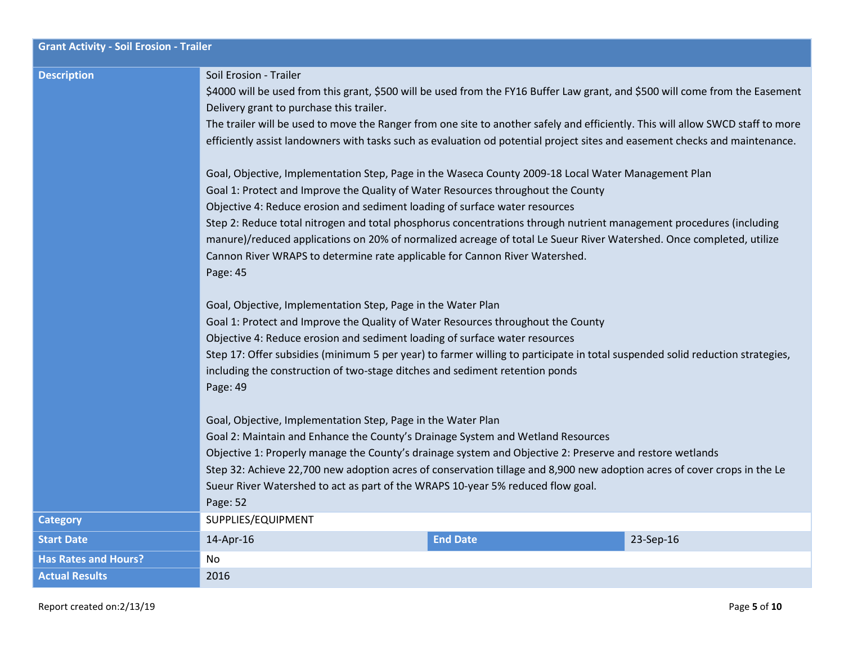| <b>Grant Activity - Soil Erosion - Trailer</b> |                                                                                                                                                                                                                                                                                                                                                                                                                                                                                                                                                                                                                  |                 |           |
|------------------------------------------------|------------------------------------------------------------------------------------------------------------------------------------------------------------------------------------------------------------------------------------------------------------------------------------------------------------------------------------------------------------------------------------------------------------------------------------------------------------------------------------------------------------------------------------------------------------------------------------------------------------------|-----------------|-----------|
| <b>Description</b>                             | Soil Erosion - Trailer<br>\$4000 will be used from this grant, \$500 will be used from the FY16 Buffer Law grant, and \$500 will come from the Easement<br>Delivery grant to purchase this trailer.<br>The trailer will be used to move the Ranger from one site to another safely and efficiently. This will allow SWCD staff to more<br>efficiently assist landowners with tasks such as evaluation od potential project sites and easement checks and maintenance.                                                                                                                                            |                 |           |
|                                                | Goal, Objective, Implementation Step, Page in the Waseca County 2009-18 Local Water Management Plan<br>Goal 1: Protect and Improve the Quality of Water Resources throughout the County<br>Objective 4: Reduce erosion and sediment loading of surface water resources<br>Step 2: Reduce total nitrogen and total phosphorus concentrations through nutrient management procedures (including<br>manure)/reduced applications on 20% of normalized acreage of total Le Sueur River Watershed. Once completed, utilize<br>Cannon River WRAPS to determine rate applicable for Cannon River Watershed.<br>Page: 45 |                 |           |
|                                                | Goal, Objective, Implementation Step, Page in the Water Plan<br>Goal 1: Protect and Improve the Quality of Water Resources throughout the County<br>Objective 4: Reduce erosion and sediment loading of surface water resources<br>Step 17: Offer subsidies (minimum 5 per year) to farmer willing to participate in total suspended solid reduction strategies,<br>including the construction of two-stage ditches and sediment retention ponds<br>Page: 49                                                                                                                                                     |                 |           |
|                                                | Goal, Objective, Implementation Step, Page in the Water Plan<br>Goal 2: Maintain and Enhance the County's Drainage System and Wetland Resources<br>Objective 1: Properly manage the County's drainage system and Objective 2: Preserve and restore wetlands<br>Step 32: Achieve 22,700 new adoption acres of conservation tillage and 8,900 new adoption acres of cover crops in the Le<br>Sueur River Watershed to act as part of the WRAPS 10-year 5% reduced flow goal.<br>Page: 52                                                                                                                           |                 |           |
| <b>Category</b>                                | SUPPLIES/EQUIPMENT                                                                                                                                                                                                                                                                                                                                                                                                                                                                                                                                                                                               |                 |           |
| <b>Start Date</b>                              | 14-Apr-16                                                                                                                                                                                                                                                                                                                                                                                                                                                                                                                                                                                                        | <b>End Date</b> | 23-Sep-16 |
| <b>Has Rates and Hours?</b>                    | No.                                                                                                                                                                                                                                                                                                                                                                                                                                                                                                                                                                                                              |                 |           |
| <b>Actual Results</b>                          | 2016                                                                                                                                                                                                                                                                                                                                                                                                                                                                                                                                                                                                             |                 |           |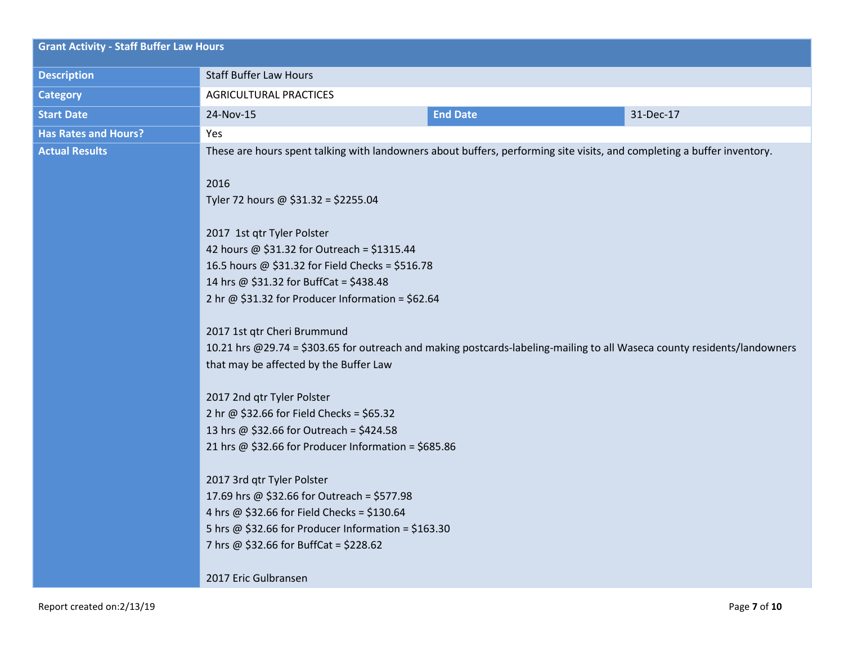| <b>Grant Activity - Staff Buffer Law Hours</b> |                                                                                                                                                         |                 |           |  |
|------------------------------------------------|---------------------------------------------------------------------------------------------------------------------------------------------------------|-----------------|-----------|--|
| <b>Description</b>                             | <b>Staff Buffer Law Hours</b>                                                                                                                           |                 |           |  |
| <b>Category</b>                                | <b>AGRICULTURAL PRACTICES</b>                                                                                                                           |                 |           |  |
| <b>Start Date</b>                              | 24-Nov-15                                                                                                                                               | <b>End Date</b> | 31-Dec-17 |  |
| <b>Has Rates and Hours?</b>                    | Yes                                                                                                                                                     |                 |           |  |
| <b>Actual Results</b>                          | These are hours spent talking with landowners about buffers, performing site visits, and completing a buffer inventory.                                 |                 |           |  |
|                                                |                                                                                                                                                         |                 |           |  |
|                                                | 2016<br>Tyler 72 hours @ \$31.32 = \$2255.04                                                                                                            |                 |           |  |
|                                                |                                                                                                                                                         |                 |           |  |
|                                                | 2017 1st qtr Tyler Polster                                                                                                                              |                 |           |  |
|                                                | 42 hours @ \$31.32 for Outreach = \$1315.44                                                                                                             |                 |           |  |
|                                                | 16.5 hours @ \$31.32 for Field Checks = \$516.78                                                                                                        |                 |           |  |
|                                                | 14 hrs @ \$31.32 for BuffCat = \$438.48                                                                                                                 |                 |           |  |
|                                                | 2 hr @ \$31.32 for Producer Information = \$62.64                                                                                                       |                 |           |  |
|                                                |                                                                                                                                                         |                 |           |  |
|                                                | 2017 1st qtr Cheri Brummund<br>10.21 hrs @29.74 = \$303.65 for outreach and making postcards-labeling-mailing to all Waseca county residents/landowners |                 |           |  |
|                                                | that may be affected by the Buffer Law                                                                                                                  |                 |           |  |
|                                                |                                                                                                                                                         |                 |           |  |
|                                                | 2017 2nd qtr Tyler Polster                                                                                                                              |                 |           |  |
|                                                | 2 hr @ \$32.66 for Field Checks = \$65.32                                                                                                               |                 |           |  |
|                                                | 13 hrs @ \$32.66 for Outreach = \$424.58                                                                                                                |                 |           |  |
|                                                | 21 hrs @ \$32.66 for Producer Information = \$685.86                                                                                                    |                 |           |  |
|                                                | 2017 3rd qtr Tyler Polster                                                                                                                              |                 |           |  |
|                                                | 17.69 hrs @ \$32.66 for Outreach = \$577.98                                                                                                             |                 |           |  |
|                                                | 4 hrs @ \$32.66 for Field Checks = \$130.64                                                                                                             |                 |           |  |
|                                                | 5 hrs @ \$32.66 for Producer Information = \$163.30                                                                                                     |                 |           |  |
|                                                | 7 hrs @ \$32.66 for BuffCat = \$228.62                                                                                                                  |                 |           |  |
|                                                |                                                                                                                                                         |                 |           |  |
|                                                | 2017 Eric Gulbransen                                                                                                                                    |                 |           |  |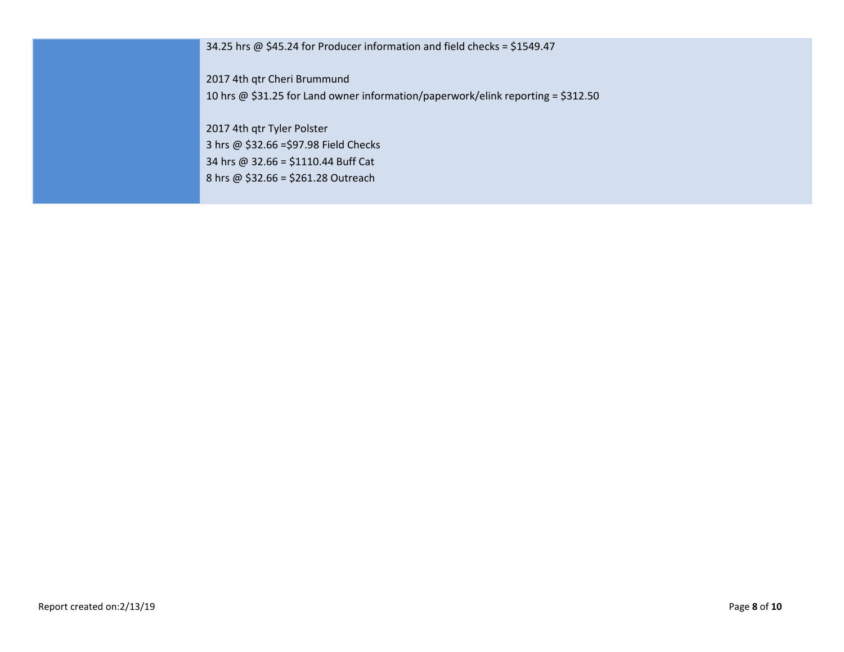34.25 hrs @ \$45.24 for Producer information and field checks = \$1549.47

2017 4th qtr Cheri Brummund

10 hrs @ \$31.25 for Land owner information/paperwork/elink reporting = \$312.50

2017 4th qtr Tyler Polster 3 hrs @ \$32.66 =\$97.98 Field Checks 34 hrs @ 32.66 = \$1110.44 Buff Cat 8 hrs @ \$32.66 = \$261.28 Outreach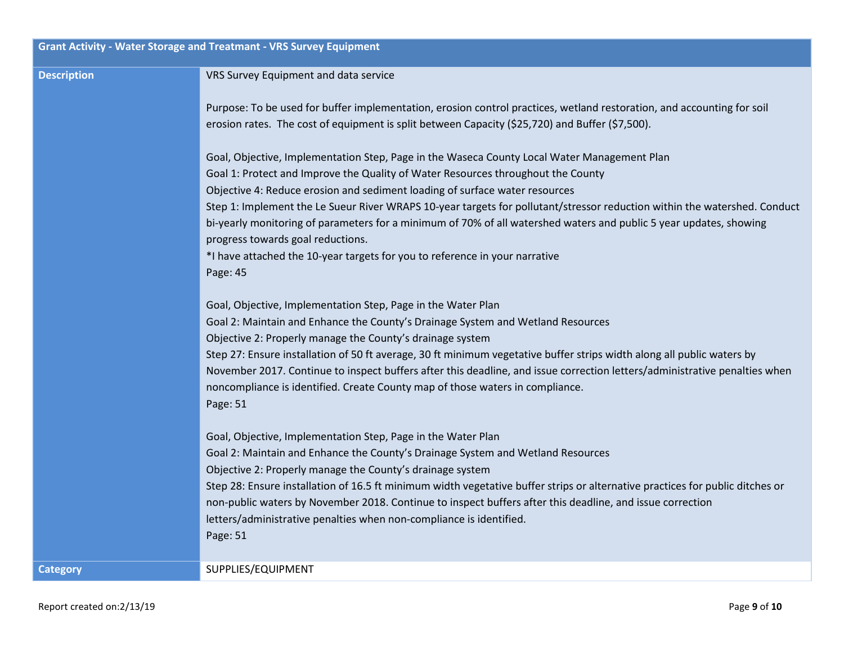|                    | <b>Grant Activity - Water Storage and Treatmant - VRS Survey Equipment</b>                                                                                                                                                                                                                                                                                                                                                                                                                                                                                                                                                                        |
|--------------------|---------------------------------------------------------------------------------------------------------------------------------------------------------------------------------------------------------------------------------------------------------------------------------------------------------------------------------------------------------------------------------------------------------------------------------------------------------------------------------------------------------------------------------------------------------------------------------------------------------------------------------------------------|
| <b>Description</b> | VRS Survey Equipment and data service                                                                                                                                                                                                                                                                                                                                                                                                                                                                                                                                                                                                             |
|                    | Purpose: To be used for buffer implementation, erosion control practices, wetland restoration, and accounting for soil<br>erosion rates. The cost of equipment is split between Capacity (\$25,720) and Buffer (\$7,500).                                                                                                                                                                                                                                                                                                                                                                                                                         |
|                    | Goal, Objective, Implementation Step, Page in the Waseca County Local Water Management Plan<br>Goal 1: Protect and Improve the Quality of Water Resources throughout the County<br>Objective 4: Reduce erosion and sediment loading of surface water resources<br>Step 1: Implement the Le Sueur River WRAPS 10-year targets for pollutant/stressor reduction within the watershed. Conduct<br>bi-yearly monitoring of parameters for a minimum of 70% of all watershed waters and public 5 year updates, showing<br>progress towards goal reductions.<br>*I have attached the 10-year targets for you to reference in your narrative<br>Page: 45 |
|                    | Goal, Objective, Implementation Step, Page in the Water Plan<br>Goal 2: Maintain and Enhance the County's Drainage System and Wetland Resources<br>Objective 2: Properly manage the County's drainage system<br>Step 27: Ensure installation of 50 ft average, 30 ft minimum vegetative buffer strips width along all public waters by<br>November 2017. Continue to inspect buffers after this deadline, and issue correction letters/administrative penalties when<br>noncompliance is identified. Create County map of those waters in compliance.<br>Page: 51                                                                                 |
|                    | Goal, Objective, Implementation Step, Page in the Water Plan<br>Goal 2: Maintain and Enhance the County's Drainage System and Wetland Resources<br>Objective 2: Properly manage the County's drainage system<br>Step 28: Ensure installation of 16.5 ft minimum width vegetative buffer strips or alternative practices for public ditches or<br>non-public waters by November 2018. Continue to inspect buffers after this deadline, and issue correction<br>letters/administrative penalties when non-compliance is identified.<br>Page: 51                                                                                                     |
| <b>Category</b>    | SUPPLIES/EQUIPMENT                                                                                                                                                                                                                                                                                                                                                                                                                                                                                                                                                                                                                                |